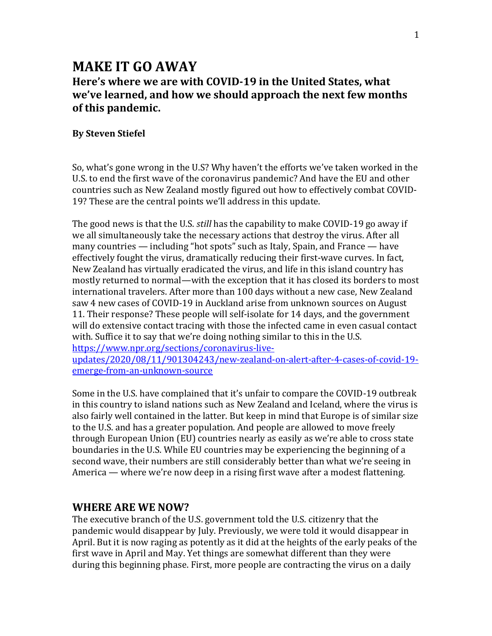# **MAKE IT GO AWAY**

# **Here's where we are with COVID-19 in the United States, what we've learned, and how we should approach the next few months of this pandemic.**

#### **By Steven Stiefel**

So, what's gone wrong in the U.S? Why haven't the efforts we've taken worked in the U.S. to end the first wave of the coronavirus pandemic? And have the EU and other countries such as New Zealand mostly figured out how to effectively combat COVID-19? These are the central points we'll address in this update.

The good news is that the U.S. *still* has the capability to make COVID-19 go away if we all simultaneously take the necessary actions that destroy the virus. After all many countries — including "hot spots" such as Italy, Spain, and France — have effectively fought the virus, dramatically reducing their first-wave curves. In fact, New Zealand has virtually eradicated the virus, and life in this island country has mostly returned to normal—with the exception that it has closed its borders to most international travelers. After more than 100 days without a new case, New Zealand saw 4 new cases of COVID-19 in Auckland arise from unknown sources on August 11. Their response? These people will self-isolate for 14 days, and the government will do extensive contact tracing with those the infected came in even casual contact with. Suffice it to say that we're doing nothing similar to this in the U.S.

[https://www.npr.org/sections/coronavirus-live-](about:blank)

[updates/2020/08/11/901304243/new-zealand-on-alert-after-4-cases-of-covid-19](about:blank) [emerge-from-an-unknown-source](about:blank)

Some in the U.S. have complained that it's unfair to compare the COVID-19 outbreak in this country to island nations such as New Zealand and Iceland, where the virus is also fairly well contained in the latter. But keep in mind that Europe is of similar size to the U.S. and has a greater population. And people are allowed to move freely through European Union (EU) countries nearly as easily as we're able to cross state boundaries in the U.S. While EU countries may be experiencing the beginning of a second wave, their numbers are still considerably better than what we're seeing in America — where we're now deep in a rising first wave after a modest flattening.

#### **WHERE ARE WE NOW?**

The executive branch of the U.S. government told the U.S. citizenry that the pandemic would disappear by July. Previously, we were told it would disappear in April. But it is now raging as potently as it did at the heights of the early peaks of the first wave in April and May. Yet things are somewhat different than they were during this beginning phase. First, more people are contracting the virus on a daily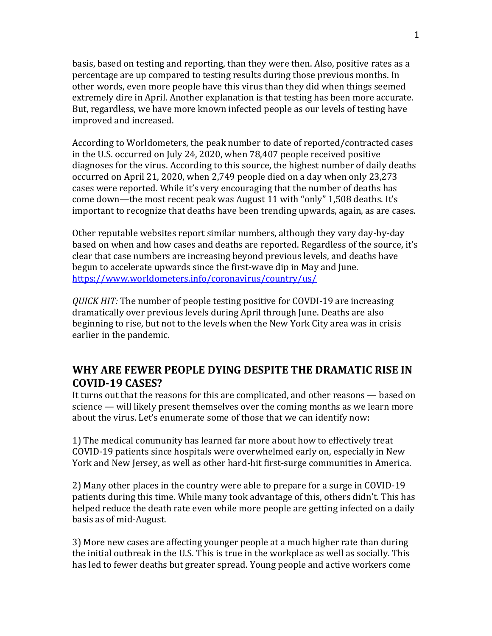basis, based on testing and reporting, than they were then. Also, positive rates as a percentage are up compared to testing results during those previous months. In other words, even more people have this virus than they did when things seemed extremely dire in April. Another explanation is that testing has been more accurate. But, regardless, we have more known infected people as our levels of testing have improved and increased.

According to Worldometers, the peak number to date of reported/contracted cases in the U.S. occurred on July 24, 2020, when 78,407 people received positive diagnoses for the virus. According to this source, the highest number of daily deaths occurred on April 21, 2020, when 2,749 people died on a day when only 23,273 cases were reported. While it's very encouraging that the number of deaths has come down—the most recent peak was August 11 with "only" 1,508 deaths. It's important to recognize that deaths have been trending upwards, again, as are cases.

Other reputable websites report similar numbers, although they vary day-by-day based on when and how cases and deaths are reported. Regardless of the source, it's clear that case numbers are increasing beyond previous levels, and deaths have begun to accelerate upwards since the first-wave dip in May and June. [https://www.worldometers.info/coronavirus/country/us/](about:blank)

*QUICK HIT:* The number of people testing positive for COVDI-19 are increasing dramatically over previous levels during April through June. Deaths are also beginning to rise, but not to the levels when the New York City area was in crisis earlier in the pandemic.

## **WHY ARE FEWER PEOPLE DYING DESPITE THE DRAMATIC RISE IN COVID-19 CASES?**

It turns out that the reasons for this are complicated, and other reasons — based on science — will likely present themselves over the coming months as we learn more about the virus. Let's enumerate some of those that we can identify now:

1) The medical community has learned far more about how to effectively treat COVID-19 patients since hospitals were overwhelmed early on, especially in New York and New Jersey, as well as other hard-hit first-surge communities in America.

2) Many other places in the country were able to prepare for a surge in COVID-19 patients during this time. While many took advantage of this, others didn't. This has helped reduce the death rate even while more people are getting infected on a daily basis as of mid-August.

3) More new cases are affecting younger people at a much higher rate than during the initial outbreak in the U.S. This is true in the workplace as well as socially. This has led to fewer deaths but greater spread. Young people and active workers come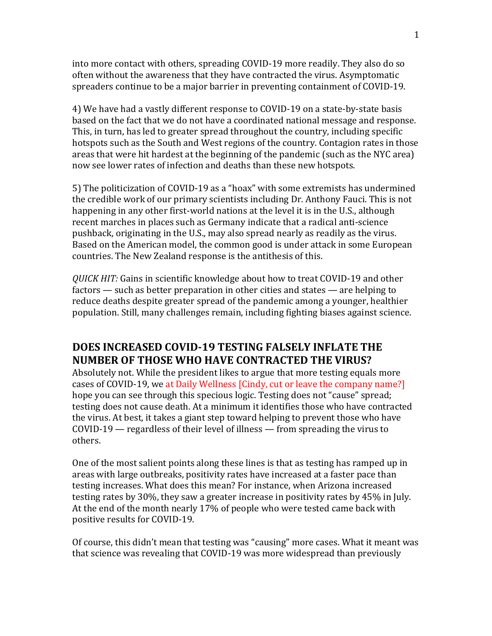into more contact with others, spreading COVID-19 more readily. They also do so often without the awareness that they have contracted the virus. Asymptomatic spreaders continue to be a major barrier in preventing containment of COVID-19.

4) We have had a vastly different response to COVID-19 on a state-by-state basis based on the fact that we do not have a coordinated national message and response. This, in turn, has led to greater spread throughout the country, including specific hotspots such as the South and West regions of the country. Contagion rates in those areas that were hit hardest at the beginning of the pandemic (such as the NYC area) now see lower rates of infection and deaths than these new hotspots.

5) The politicization of COVID-19 as a "hoax" with some extremists has undermined the credible work of our primary scientists including Dr. Anthony Fauci. This is not happening in any other first-world nations at the level it is in the U.S., although recent marches in places such as Germany indicate that a radical anti-science pushback, originating in the U.S., may also spread nearly as readily as the virus. Based on the American model, the common good is under attack in some European countries. The New Zealand response is the antithesis of this.

*QUICK HIT:* Gains in scientific knowledge about how to treat COVID-19 and other factors — such as better preparation in other cities and states — are helping to reduce deaths despite greater spread of the pandemic among a younger, healthier population. Still, many challenges remain, including fighting biases against science.

# **DOES INCREASED COVID-19 TESTING FALSELY INFLATE THE NUMBER OF THOSE WHO HAVE CONTRACTED THE VIRUS?**

Absolutely not. While the president likes to argue that more testing equals more cases of COVID-19, we at Daily Wellness [Cindy, cut or leave the company name?] hope you can see through this specious logic. Testing does not "cause" spread; testing does not cause death. At a minimum it identifies those who have contracted the virus. At best, it takes a giant step toward helping to prevent those who have COVID-19 — regardless of their level of illness — from spreading the virus to others.

One of the most salient points along these lines is that as testing has ramped up in areas with large outbreaks, positivity rates have increased at a faster pace than testing increases. What does this mean? For instance, when Arizona increased testing rates by 30%, they saw a greater increase in positivity rates by 45% in July. At the end of the month nearly 17% of people who were tested came back with positive results for COVID-19.

Of course, this didn't mean that testing was "causing" more cases. What it meant was that science was revealing that COVID-19 was more widespread than previously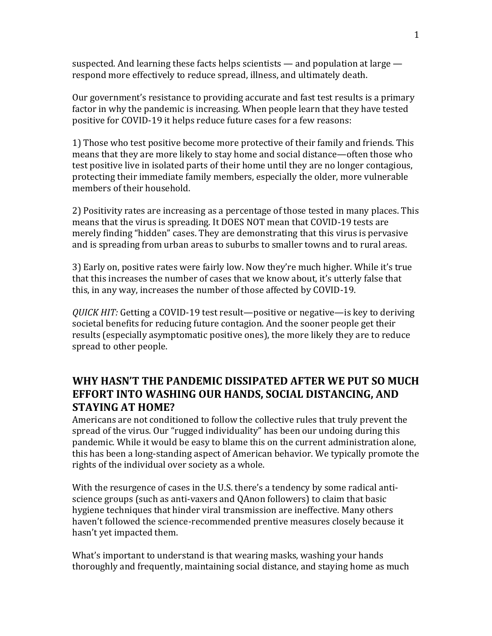suspected. And learning these facts helps scientists — and population at large respond more effectively to reduce spread, illness, and ultimately death.

Our government's resistance to providing accurate and fast test results is a primary factor in why the pandemic is increasing. When people learn that they have tested positive for COVID-19 it helps reduce future cases for a few reasons:

1) Those who test positive become more protective of their family and friends. This means that they are more likely to stay home and social distance—often those who test positive live in isolated parts of their home until they are no longer contagious, protecting their immediate family members, especially the older, more vulnerable members of their household.

2) Positivity rates are increasing as a percentage of those tested in many places. This means that the virus is spreading. It DOES NOT mean that COVID-19 tests are merely finding "hidden" cases. They are demonstrating that this virus is pervasive and is spreading from urban areas to suburbs to smaller towns and to rural areas.

3) Early on, positive rates were fairly low. Now they're much higher. While it's true that this increases the number of cases that we know about, it's utterly false that this, in any way, increases the number of those affected by COVID-19.

*QUICK HIT:* Getting a COVID-19 test result—positive or negative—is key to deriving societal benefits for reducing future contagion. And the sooner people get their results (especially asymptomatic positive ones), the more likely they are to reduce spread to other people.

# **WHY HASN'T THE PANDEMIC DISSIPATED AFTER WE PUT SO MUCH EFFORT INTO WASHING OUR HANDS, SOCIAL DISTANCING, AND STAYING AT HOME?**

Americans are not conditioned to follow the collective rules that truly prevent the spread of the virus. Our "rugged individuality" has been our undoing during this pandemic. While it would be easy to blame this on the current administration alone, this has been a long-standing aspect of American behavior. We typically promote the rights of the individual over society as a whole.

With the resurgence of cases in the U.S. there's a tendency by some radical antiscience groups (such as anti-vaxers and QAnon followers) to claim that basic hygiene techniques that hinder viral transmission are ineffective. Many others haven't followed the science-recommended prentive measures closely because it hasn't yet impacted them.

What's important to understand is that wearing masks, washing your hands thoroughly and frequently, maintaining social distance, and staying home as much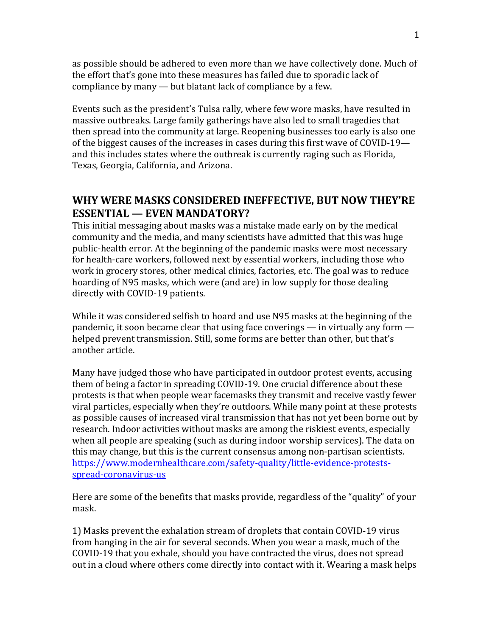as possible should be adhered to even more than we have collectively done. Much of the effort that's gone into these measures has failed due to sporadic lack of compliance by many — but blatant lack of compliance by a few.

Events such as the president's Tulsa rally, where few wore masks, have resulted in massive outbreaks. Large family gatherings have also led to small tragedies that then spread into the community at large. Reopening businesses too early is also one of the biggest causes of the increases in cases during this first wave of COVID-19 and this includes states where the outbreak is currently raging such as Florida, Texas, Georgia, California, and Arizona.

# **WHY WERE MASKS CONSIDERED INEFFECTIVE, BUT NOW THEY'RE ESSENTIAL — EVEN MANDATORY?**

This initial messaging about masks was a mistake made early on by the medical community and the media, and many scientists have admitted that this was huge public-health error. At the beginning of the pandemic masks were most necessary for health-care workers, followed next by essential workers, including those who work in grocery stores, other medical clinics, factories, etc. The goal was to reduce hoarding of N95 masks, which were (and are) in low supply for those dealing directly with COVID-19 patients.

While it was considered selfish to hoard and use N95 masks at the beginning of the pandemic, it soon became clear that using face coverings — in virtually any form helped prevent transmission. Still, some forms are better than other, but that's another article.

Many have judged those who have participated in outdoor protest events, accusing them of being a factor in spreading COVID-19. One crucial difference about these protests is that when people wear facemasks they transmit and receive vastly fewer viral particles, especially when they're outdoors. While many point at these protests as possible causes of increased viral transmission that has not yet been borne out by research. Indoor activities without masks are among the riskiest events, especially when all people are speaking (such as during indoor worship services). The data on this may change, but this is the current consensus among non-partisan scientists. [https://www.modernhealthcare.com/safety-quality/little-evidence-protests](about:blank)[spread-coronavirus-us](about:blank)

Here are some of the benefits that masks provide, regardless of the "quality" of your mask.

1) Masks prevent the exhalation stream of droplets that contain COVID-19 virus from hanging in the air for several seconds. When you wear a mask, much of the COVID-19 that you exhale, should you have contracted the virus, does not spread out in a cloud where others come directly into contact with it. Wearing a mask helps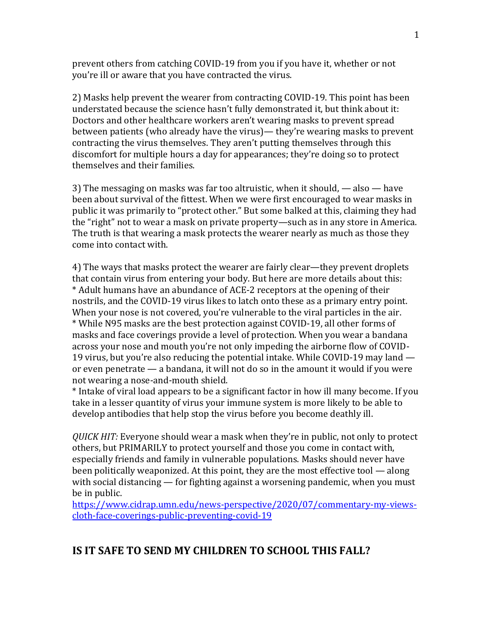prevent others from catching COVID-19 from you if you have it, whether or not you're ill or aware that you have contracted the virus.

2) Masks help prevent the wearer from contracting COVID-19. This point has been understated because the science hasn't fully demonstrated it, but think about it: Doctors and other healthcare workers aren't wearing masks to prevent spread between patients (who already have the virus)— they're wearing masks to prevent contracting the virus themselves. They aren't putting themselves through this discomfort for multiple hours a day for appearances; they're doing so to protect themselves and their families.

3) The messaging on masks was far too altruistic, when it should, — also — have been about survival of the fittest. When we were first encouraged to wear masks in public it was primarily to "protect other." But some balked at this, claiming they had the "right" not to wear a mask on private property—such as in any store in America. The truth is that wearing a mask protects the wearer nearly as much as those they come into contact with.

4) The ways that masks protect the wearer are fairly clear—they prevent droplets that contain virus from entering your body. But here are more details about this: \* Adult humans have an abundance of ACE-2 receptors at the opening of their nostrils, and the COVID-19 virus likes to latch onto these as a primary entry point. When your nose is not covered, you're vulnerable to the viral particles in the air. \* While N95 masks are the best protection against COVID-19, all other forms of masks and face coverings provide a level of protection. When you wear a bandana across your nose and mouth you're not only impeding the airborne flow of COVID-19 virus, but you're also reducing the potential intake. While COVID-19 may land or even penetrate — a bandana, it will not do so in the amount it would if you were not wearing a nose-and-mouth shield.

\* Intake of viral load appears to be a significant factor in how ill many become. If you take in a lesser quantity of virus your immune system is more likely to be able to develop antibodies that help stop the virus before you become deathly ill.

*QUICK HIT:* Everyone should wear a mask when they're in public, not only to protect others, but PRIMARILY to protect yourself and those you come in contact with, especially friends and family in vulnerable populations. Masks should never have been politically weaponized. At this point, they are the most effective tool — along with social distancing — for fighting against a worsening pandemic, when you must be in public.

[https://www.cidrap.umn.edu/news-perspective/2020/07/commentary-my-views](about:blank)[cloth-face-coverings-public-preventing-covid-19](about:blank)

## **IS IT SAFE TO SEND MY CHILDREN TO SCHOOL THIS FALL?**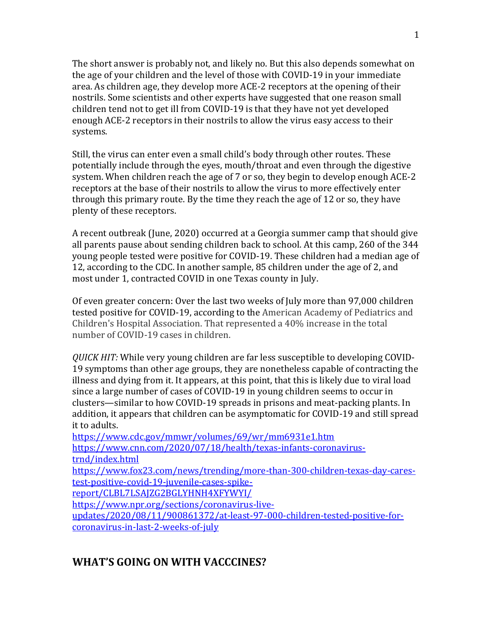The short answer is probably not, and likely no. But this also depends somewhat on the age of your children and the level of those with COVID-19 in your immediate area. As children age, they develop more ACE-2 receptors at the opening of their nostrils. Some scientists and other experts have suggested that one reason small children tend not to get ill from COVID-19 is that they have not yet developed enough ACE-2 receptors in their nostrils to allow the virus easy access to their systems.

Still, the virus can enter even a small child's body through other routes. These potentially include through the eyes, mouth/throat and even through the digestive system. When children reach the age of 7 or so, they begin to develop enough ACE-2 receptors at the base of their nostrils to allow the virus to more effectively enter through this primary route. By the time they reach the age of 12 or so, they have plenty of these receptors.

A recent outbreak (June, 2020) occurred at a Georgia summer camp that should give all parents pause about sending children back to school. At this camp, 260 of the 344 young people tested were positive for COVID-19. These children had a median age of 12, according to the CDC. In another sample, 85 children under the age of 2, and most under 1, contracted COVID in one Texas county in July.

Of even greater concern: Over the last two weeks of July more than 97,000 children tested positive for COVID-19, according to the American Academy of Pediatrics and Children's Hospital Association. That represented a 40% increase in the total number of COVID-19 cases in children.

*QUICK HIT:* While very young children are far less susceptible to developing COVID-19 symptoms than other age groups, they are nonetheless capable of contracting the illness and dying from it. It appears, at this point, that this is likely due to viral load since a large number of cases of COVID-19 in young children seems to occur in clusters—similar to how COVID-19 spreads in prisons and meat-packing plants. In addition, it appears that children can be asymptomatic for COVID-19 and still spread it to adults.

[https://www.cdc.gov/mmwr/volumes/69/wr/mm6931e1.htm](about:blank) [https://www.cnn.com/2020/07/18/health/texas-infants-coronavirus](about:blank)[trnd/index.html](about:blank) [https://www.fox23.com/news/trending/more-than-300-children-texas-day-cares](about:blank)[test-positive-covid-19-juvenile-cases-spike](about:blank)[report/CLBL7LSAJZG2BGLYHNH4XFYWYI/](about:blank) [https://www.npr.org/sections/coronavirus-live](about:blank)[updates/2020/08/11/900861372/at-least-97-000-children-tested-positive-for](about:blank)[coronavirus-in-last-2-weeks-of-july](about:blank)

# **WHAT'S GOING ON WITH VACCCINES?**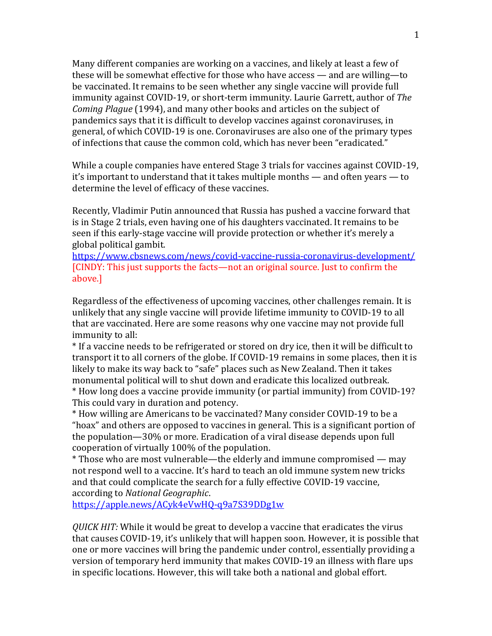Many different companies are working on a vaccines, and likely at least a few of these will be somewhat effective for those who have access — and are willing—to be vaccinated. It remains to be seen whether any single vaccine will provide full immunity against COVID-19, or short-term immunity. Laurie Garrett, author of *The Coming Plague* (1994), and many other books and articles on the subject of pandemics says that it is difficult to develop vaccines against coronaviruses, in general, of which COVID-19 is one. Coronaviruses are also one of the primary types of infections that cause the common cold, which has never been "eradicated."

While a couple companies have entered Stage 3 trials for vaccines against COVID-19, it's important to understand that it takes multiple months — and often years — to determine the level of efficacy of these vaccines.

Recently, Vladimir Putin announced that Russia has pushed a vaccine forward that is in Stage 2 trials, even having one of his daughters vaccinated. It remains to be seen if this early-stage vaccine will provide protection or whether it's merely a global political gambit.

[https://www.cbsnews.com/news/covid-vaccine-russia-coronavirus-development/](about:blank) [CINDY: This just supports the facts—not an original source. Just to confirm the above.]

Regardless of the effectiveness of upcoming vaccines, other challenges remain. It is unlikely that any single vaccine will provide lifetime immunity to COVID-19 to all that are vaccinated. Here are some reasons why one vaccine may not provide full immunity to all:

\* If a vaccine needs to be refrigerated or stored on dry ice, then it will be difficult to transport it to all corners of the globe. If COVID-19 remains in some places, then it is likely to make its way back to "safe" places such as New Zealand. Then it takes monumental political will to shut down and eradicate this localized outbreak. \* How long does a vaccine provide immunity (or partial immunity) from COVID-19?

This could vary in duration and potency.

\* How willing are Americans to be vaccinated? Many consider COVID-19 to be a "hoax" and others are opposed to vaccines in general. This is a significant portion of the population—30% or more. Eradication of a viral disease depends upon full cooperation of virtually 100% of the population.

\* Those who are most vulnerable—the elderly and immune compromised — may not respond well to a vaccine. It's hard to teach an old immune system new tricks and that could complicate the search for a fully effective COVID-19 vaccine, according to *National Geographic*.

[https://apple.news/ACyk4eVwHQ-q9a7S39DDg1w](about:blank)

*QUICK HIT:* While it would be great to develop a vaccine that eradicates the virus that causes COVID-19, it's unlikely that will happen soon. However, it is possible that one or more vaccines will bring the pandemic under control, essentially providing a version of temporary herd immunity that makes COVID-19 an illness with flare ups in specific locations. However, this will take both a national and global effort.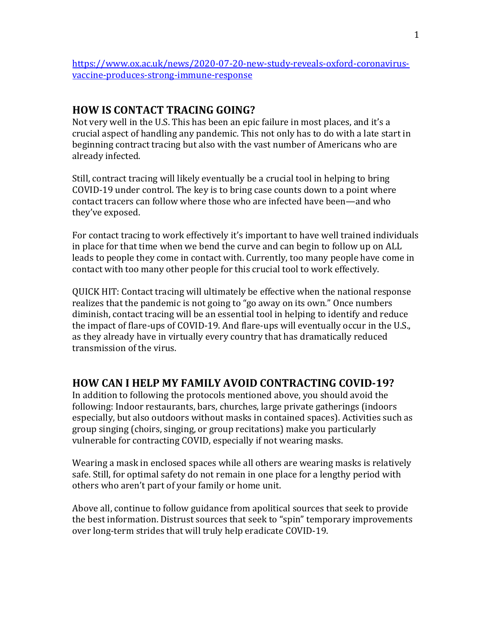[https://www.ox.ac.uk/news/2020-07-20-new-study-reveals-oxford-coronavirus](about:blank)[vaccine-produces-strong-immune-response](about:blank)

## **HOW IS CONTACT TRACING GOING?**

Not very well in the U.S. This has been an epic failure in most places, and it's a crucial aspect of handling any pandemic. This not only has to do with a late start in beginning contract tracing but also with the vast number of Americans who are already infected.

Still, contract tracing will likely eventually be a crucial tool in helping to bring COVID-19 under control. The key is to bring case counts down to a point where contact tracers can follow where those who are infected have been—and who they've exposed.

For contact tracing to work effectively it's important to have well trained individuals in place for that time when we bend the curve and can begin to follow up on ALL leads to people they come in contact with. Currently, too many people have come in contact with too many other people for this crucial tool to work effectively.

QUICK HIT: Contact tracing will ultimately be effective when the national response realizes that the pandemic is not going to "go away on its own." Once numbers diminish, contact tracing will be an essential tool in helping to identify and reduce the impact of flare-ups of COVID-19. And flare-ups will eventually occur in the U.S., as they already have in virtually every country that has dramatically reduced transmission of the virus.

## **HOW CAN I HELP MY FAMILY AVOID CONTRACTING COVID-19?**

In addition to following the protocols mentioned above, you should avoid the following: Indoor restaurants, bars, churches, large private gatherings (indoors especially, but also outdoors without masks in contained spaces). Activities such as group singing (choirs, singing, or group recitations) make you particularly vulnerable for contracting COVID, especially if not wearing masks.

Wearing a mask in enclosed spaces while all others are wearing masks is relatively safe. Still, for optimal safety do not remain in one place for a lengthy period with others who aren't part of your family or home unit.

Above all, continue to follow guidance from apolitical sources that seek to provide the best information. Distrust sources that seek to "spin" temporary improvements over long-term strides that will truly help eradicate COVID-19.